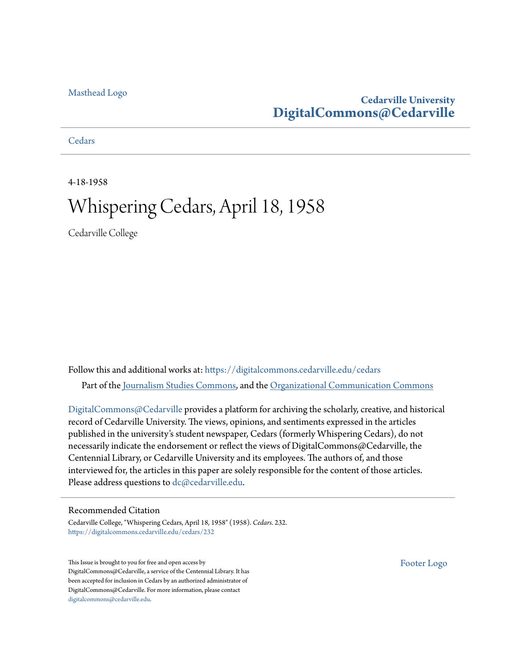#### [Masthead Logo](http://www.cedarville.edu/?utm_source=digitalcommons.cedarville.edu%2Fcedars%2F232&utm_medium=PDF&utm_campaign=PDFCoverPages)

## **Cedarville University [DigitalCommons@Cedarville](https://digitalcommons.cedarville.edu?utm_source=digitalcommons.cedarville.edu%2Fcedars%2F232&utm_medium=PDF&utm_campaign=PDFCoverPages)**

**[Cedars](https://digitalcommons.cedarville.edu/cedars?utm_source=digitalcommons.cedarville.edu%2Fcedars%2F232&utm_medium=PDF&utm_campaign=PDFCoverPages)** 

4-18-1958

# Whispering Cedars, April 18, 1958

Cedarville College

Follow this and additional works at: [https://digitalcommons.cedarville.edu/cedars](https://digitalcommons.cedarville.edu/cedars?utm_source=digitalcommons.cedarville.edu%2Fcedars%2F232&utm_medium=PDF&utm_campaign=PDFCoverPages) Part of the [Journalism Studies Commons](http://network.bepress.com/hgg/discipline/333?utm_source=digitalcommons.cedarville.edu%2Fcedars%2F232&utm_medium=PDF&utm_campaign=PDFCoverPages), and the [Organizational Communication Commons](http://network.bepress.com/hgg/discipline/335?utm_source=digitalcommons.cedarville.edu%2Fcedars%2F232&utm_medium=PDF&utm_campaign=PDFCoverPages)

[DigitalCommons@Cedarville](http://digitalcommons.cedarville.edu/) provides a platform for archiving the scholarly, creative, and historical record of Cedarville University. The views, opinions, and sentiments expressed in the articles published in the university's student newspaper, Cedars (formerly Whispering Cedars), do not necessarily indicate the endorsement or reflect the views of DigitalCommons@Cedarville, the Centennial Library, or Cedarville University and its employees. The authors of, and those interviewed for, the articles in this paper are solely responsible for the content of those articles. Please address questions to [dc@cedarville.edu.](mailto:dc@cedarville.edu)

#### Recommended Citation

Cedarville College, "Whispering Cedars, April 18, 1958" (1958). *Cedars*. 232. [https://digitalcommons.cedarville.edu/cedars/232](https://digitalcommons.cedarville.edu/cedars/232?utm_source=digitalcommons.cedarville.edu%2Fcedars%2F232&utm_medium=PDF&utm_campaign=PDFCoverPages)

This Issue is brought to you for free and open access by DigitalCommons@Cedarville, a service of the Centennial Library. It has been accepted for inclusion in Cedars by an authorized administrator of DigitalCommons@Cedarville. For more information, please contact [digitalcommons@cedarville.edu](mailto:digitalcommons@cedarville.edu).

[Footer Logo](http://www.cedarville.edu/Academics/Library.aspx?utm_source=digitalcommons.cedarville.edu%2Fcedars%2F232&utm_medium=PDF&utm_campaign=PDFCoverPages)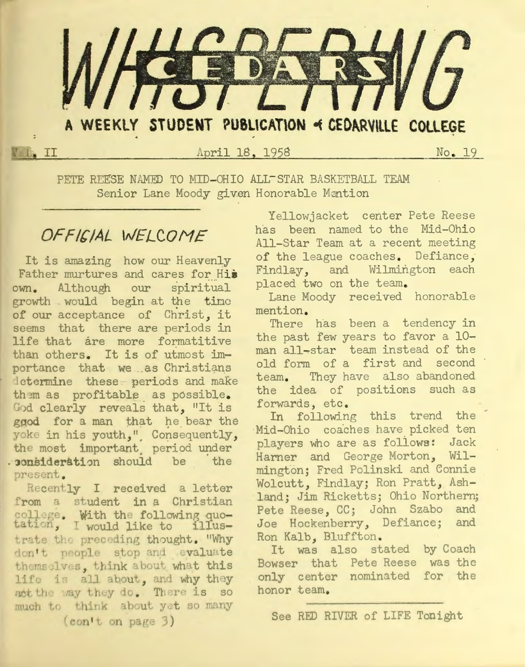

April 18. 1958

No. 19

PETE REESE NAMED TO MID-OHIO ALL-STAR BASKETBALL TEAM Senior Lane Moody given Honorable Mention

## OFFICIAL WELCOME

**IN II** 

It is amazing how our Heavenly Father murtures and cares for His own. Although our spiritual growth would begin at the time of our acceptance of Christ, it seems that there are periods in life that are more formatitive than others. It is of utmost importance that we as Christians determine these periods and make them as profitable as possible. God clearly reveals that, "It is ggod for a man that he bear the yoke in his youth," Consequently, the most important period under . consideration should be the present.

Recently I received a letter from a student in a Christian college. With the following quotation, I would like to illustrate the preceding thought. "Why don't people stop and evaluate themselves, think about what this life is all about, and why they act the way they do. There is so much to think about yet so many  $(const t)$  on page 3)

Yellowjacket center Pete Reese has been named to the Mid-Ohio All-Star Team at a recent meeting of the league coaches. Defiance, Findlay, and Wilmington each placed two on the team.

Lane Moody received honorable mention.

There has been a tendency in the past few years to favor a 10man all-star team instead of the old form of a first and second team. They have also abandoned the idea of positions such as forwards, etc.

In following this trend the Mid-Ohio coaches have picked ten players who are as follows: Jack Harner and George Morton, Wilmington; Fred Polinski and Connie Wolcutt. Findlay; Ron Pratt, Ashland; Jim Ricketts; Ohio Northern; Pete Reese, CC; John Szabo and Joe Hockenberry, Defiance; and Ron Kalb, Bluffton.

It was also stated by Coach Bowser that Pete Reese was the only center nominated for the honor team.

See RED RIVER of LIFE Tonight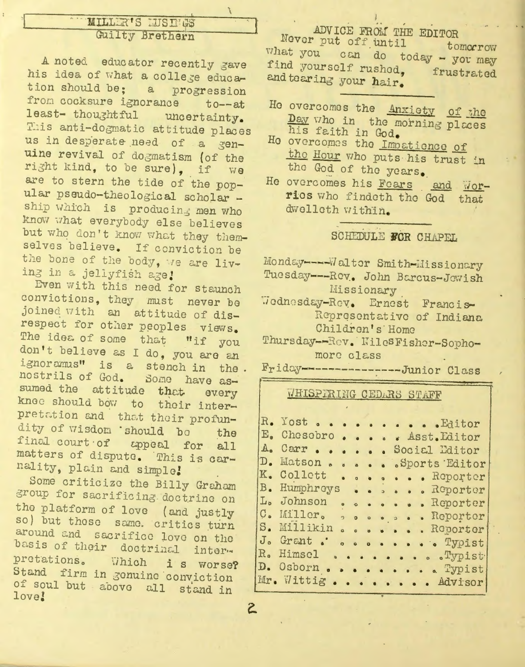## MILLER'S LUSINGS Guilty Brethern

A noted educator recently gave his idea of what a college education should be; a progression from cocksure ignorance  $t0--at$ least- thoughtful uncertainty. This anti-dogmatic attitude places us in desperate need of a genuine revival of dogmatism (of the right kind, to be sure), if we are to stern the tide of the popular pseudo-theological scholar ship which is producing men who know what everybody else believes but who don't know what they themselves believe. If conviction be the bone of the body, we are living in a jellyfish age!

Even with this need for staunch convictions, they must never be joined with an attitude of disrespect for other peoples views. The idea of some that "if you don't believe as I do, you are an ignoramus" is a stench in the. nostrils of God. Some have assumed the attitude that every knee should bow to their interpretation and that their profundity of wisdom 'should bo the final court of appeal for all matters of dispute. This is carnality, plain and simple!

Some criticize the Billy Graham group for sacrificing doctrine on the platform of love (and justly so) but these same. critics turn around and sacrifice love on the basis of their doctrinal interpretations. Which i s worse? Stand firm in gonuine conviction of soul but above all stand in love!

 $\mathsf{S}$ 

## ADVICE FROM THE EDITOR

Never put off until tomorrow what you can do today - you may find yourself rushed, frustrated and tearing your hair.

- He overcomes the Anxiety of the Day who in the morning places his faith in God.
- He overcomes the Impatience of the Hour who puts his trust in the God of the years.
- He overcomes his Fears and Worrios who findeth the God that dwelleth within.

#### SCHEDULE FOR CHAPEL

Monday---- Walter Smith-Missionary Tuesday --- Rev. John Barcus-Jewish Missionary

Wodnesday-Rev. Ernest Francis-Representative of Indiana Children's Home

Thursday--Rev. WilesFisher-Sophomore class

Friday---------------Junior Class

#### **WHISPIRING CEDARS STAFF**

|                | R. Yost Editor        |                  |           |  |  |                                                                                            |  |
|----------------|-----------------------|------------------|-----------|--|--|--------------------------------------------------------------------------------------------|--|
| $E_{\bullet}$  | Chesobro Asst. Editor |                  |           |  |  |                                                                                            |  |
| $A_{\bullet}$  | Carr                  |                  |           |  |  | Social Editor                                                                              |  |
| $\mathbb{D}$ . | Matson.               | $\bullet$        | $\bullet$ |  |  | Sports Editor                                                                              |  |
| K.             | Collett Reporter      |                  |           |  |  |                                                                                            |  |
| B <sub>o</sub> | Humphreys Reporter    |                  |           |  |  |                                                                                            |  |
|                | L. Johnson            |                  |           |  |  | Reporter                                                                                   |  |
|                | C. Miller. Reporter   |                  |           |  |  |                                                                                            |  |
|                | S. Millikin           | $\ddot{\bullet}$ |           |  |  | Roporter                                                                                   |  |
| J <sub>o</sub> | Grant                 |                  |           |  |  | . Typist                                                                                   |  |
|                | R. Himsel             |                  |           |  |  | $\bullet \bullet \bullet \bullet \bullet \bullet \bullet \bullet \bullet \mathbb{T}$ ypist |  |
|                | D. Osborn Typist      |                  |           |  |  |                                                                                            |  |
|                | Mr. Wittig Advisor    |                  |           |  |  |                                                                                            |  |
|                |                       |                  |           |  |  |                                                                                            |  |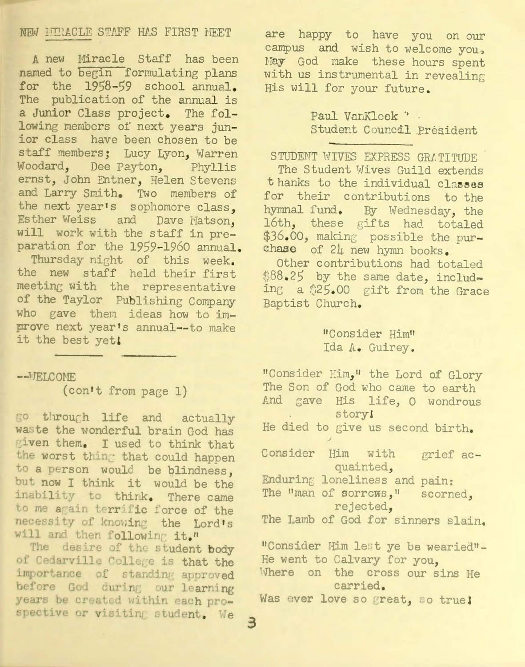### NEW MERACLE STAFF HAS FIRST MEET

A new Miracle Staff has been named to begin formulating plans for the 1958-59 school annual. *mhe* publication of the annual is a Junior Class project. The following members of next years junior class have been chosen to be staff members; Lucy Lyon, Warren Woodard, Dee Payton, Phyllis ernst, John Entner, Helen Stevens and Larry Smith. Two members of the next year's sophomore class, Esther Weiss and Dave Matson, will work with the staff in preparation for the 1959-1960 annual.

Thursday night of this week. the new staff held their first meeting with the representative of the Taylor Publishing Company who gave them ideas how to improve next year 's annual--to make it the best yet!

--VELCOME

(con't from page 1)

go through life and actually waste the wonderful brain God has given them. I used to think that the worst thing that could happen to a person would be blindness, but now I think it would be the inability to think. There came to me again terrific force of the necessity of knowing the Lord's will and then following it."

The desire of the student body of Cedarville College is that the importance of standing approved before God during our learning years be created within each prospective or visiting student. We 3

are happy to have you on our campus and wish to welcome you, May God make these hours spent with us instrumental in revealing His will for your future.

> Paul VanKleek \*. Student Council President

STUDENT WIVES EXPRESS GRATITUDE The Student Wives Guild extends t hanks to the individual classes for their contributions to the hymnal fund. By Wednesday, the 16th, these gifts had totaled \$36.00, making possible the purchase of  $24$  new hymn books.

Other contributions had totaled \$88.25 by the same date, including a \$25.00 gift from the Grace Baptist Church.

## <sup>11</sup>Consider Him" Ida A. Guirey .

"Consider Him, " the Lord of Glory The Son of God who came to earth And gave His life, O wondrous storyl  $\mathcal{L}_{\text{max}}$ He died to give us second birth. I Consider Him with grief acquainted, Enduring loneliness and pain: The "man of sorrows," scorned, rejected, The Lamb of God for sinners slain. "Consider Him lest ye be wearied"-He went to Calvary for you, Where on the cross our sins He carried. Was ever love so great, so true!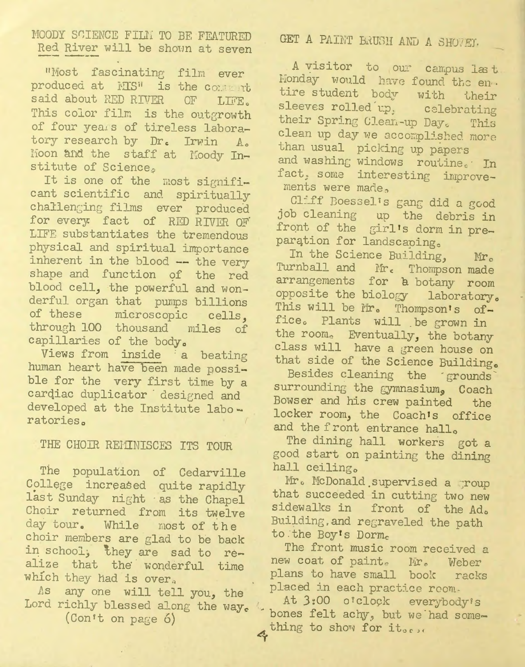## MOODY SCIENCE FILM TO BE FEATURED Red River will be shown at seven

"Most fascinating film ever produced at MIS" is the content said about RED RIVER OF LIFE. This color film is the outgrowth of four years of tireless laboratory research by Dr. Irwin A. Moon and the staff at Moody Institute of Science.

It is one of the most significant scientific and spiritually challenging films ever produced for every fact of RED RIVER OF LIFE substantiates the tremendous physical and spiritual importance inherent in the blood --- the very shape and function of the red blood cell, the powerful and wonderful organ that pumps billions of these microscopic cells, through 100 thousand miles of capillaries of the body.

Views from inside a beating human heart have been made possible for the very first time by a cardiac duplicator designed and developed at the Institute laboratories.

## THE CHOIR REMINISCES ITS TOUR

The population of Cedarville College increased quite rapidly last Sunday night as the Chapel Choir returned from its twelve day tour. While most of the choir members are glad to be back in school, they are sad to realize that the wonderful time which they had is over.

As any one will tell you, the Lord richly blessed along the way.

(Con't on page 6)

## GET A PAINT BRUSH AND A SHOWEY.

A visitor to our campus last Honday would have found the entire student body with their sleeves rolled up, celebrating their Spring Clean-up Day. This clean up day we accomplished more than usual picking up papers and washing windows routine. In fact, some interesting improvements were made,

Cliff Boessel's gang did a good job cleaning up the debris in front of the girl's dorm in preparation for landscaping.

In the Science Building, Mr. Turnball and Mr. Thompson made arrangements for a botany room opposite the biology laboratory. This will be Mr. Thompson's office. Plants will be grown in the room. Eventually, the botany class will have a green house on that side of the Science Building.

Besides cleaning the grounds surrounding the gymnasium, Coach Bowser and his crew painted the locker room, the Coach's office and the front entrance hall.

The dining hall workers got a good start on painting the dining hall ceiling.

Mr. McDonald supervised a group that succeeded in cutting two new sidewalks in front of the Ad. Building, and regraveled the path to the Boy's Dorm.

The front music room received a new coat of paint. Mr. Weber plans to have small book racks placed in each practice reem-

At 3:00 o'clock everybody's bones felt achy, but we had something to show for it...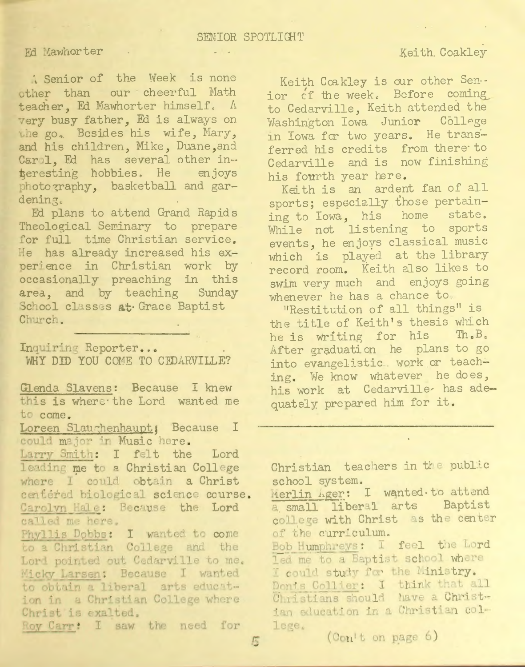### Fd Mawhorter .

: Senior of the Week is none other than our cheerful Math teacher, Ed Mawhorter himself. A very busy father, Ed is always on the go. Besides his wife, Mary, and his children, Mike, Duane, and Carol, Ed has several other interesting hobbies. He enjoys photography, basketball and gardening.

Ed plans to attend Grand Rapids Theological Seminary to prepare for full time Christian service. He has already increased his experience in Christian work by occasionally preaching in this area, and by teaching Sunday School classes at Grace Baptist Church.

Inquiring Reporter... WHY DID YOU COME TO CEDARVILLE?

Glenda Slavens: Because I knew this is where the Lord wanted me to come.

Loreen Slaughenhaupt; Because I could major in Music here.

Larry Smith: I felt the Lord leading me to a Christian College where I could obtain a Christ centered biological science course. Carolyn Hale: Because the Lord called me here.

Phyllis Dobbs: I wanted to come to a Christian College and the Lord pointed out Cedarville to me. Micky Larsen: Because I wanted to obtain a liberal arts education in a Christian College where Christ is exalted.

Roy Carr: I saw the need for

Keith Coakley

Keith Coakley is our other Sen.. ior of the week. Before coming to Cedarville, Keith attended the Washington Iowa Junior College in Iowa for two years. He transferred his credits from there to Cedarville and is now finishing his fourth year here.

Keith is an ardent fan of all sports; especially those pertaining to Iowa, his home state. While not listening to sports events, he enjoys classical music which is played at the library record room. Keith also likes to swim very much and enjoys going whenever he has a chance to,

"Restitution of all things" is the title of Keith's thesis which he is writing for his Th.B. After graduation he plans to go into evangelistic. work or teaching. We know whatever he does, his work at Cedarville has adequately prepared him for it.

Christian teachers in the public school system.

Merlin Ager: I wanted to attend a small liberal arts Baptist college with Christ as the center of the curriculum.

Bob Humphreys: I feel the Lord led me to a Baptist school where I could study for the Ministry. Donis Collier: I think that all Christians should have a Christian education in a Christian college.

(Con't on page 6)

5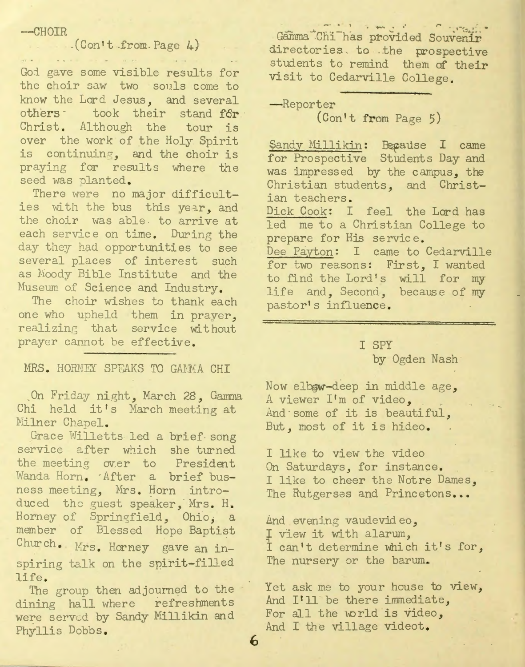#### $-CH OIR$

## $(Con't from Page 4)$

and the second community of the second community of the second community of the second community of the second community of the second community of the second community of the second community of the second community of th

God gave some visible results for the choir saw two souls come to know the Lord Jesus, and several others took their stand for Christ. Although the tour is over the work of the Holy Spirit is continuing, and the choir is praying for results where the seed was planted.

There were no major difficulties with the bus this year, and the choir was able to arrive at each service on time. During the day they had opportunities to see several places of interest such as Moody Bible Institute and the Museum of Science and Industry.

The choir wishes to thank each one who upheld them in prayer, realizing that service without prayer cannot be effective.

#### MRS. HORNEY SPEAKS TO GAMMA CHI

On Friday night, March 28, Gamma Chi held it's March meeting at Milner Chapel.

Grace Willetts led a brief song service after which she turned the meeting over to President Wanda Horn. After a brief busness meeting, Mrs. Horn introduced the guest speaker, Mrs. H. Horney of Springfield, Ohio, a member of Blessed Hope Baptist Church. Mrs. Horney gave an inspiring talk on the spirit-filled life.

The group then adjourned to the dining hall where refreshments were served by Sandy Millikin and Phyllis Dobbs.

Gamma Chi has provided Souvenir directories to the prospective students to remind them of their visit to Cedarville College.

-Reporter

 $(Con't from Page 5)$ 

Şandy Millikin: Beçause I came for Prospective Students Day and was impressed by the campus, the Christian students, and Christian teachers. Dick Cook: I feel the Lord has led me to a Christian College to prepare for His service. Dee Payton: I came to Cedarville for two reasons: First, I wanted to find the Lord's will for my life and, Second, because of my pastor's influence.

### **T SPY**

by Ogden Nash

Now elbow-deep in middle age, A viewer I'm of video, And some of it is beautiful, But, most of it is hideo.

I like to view the video On Saturdays, for instance. I like to cheer the Notre Dames, The Rutgerses and Princetons...

And evening vaudevideo, I view it with alarum, I can't determine which it's for, The nursery or the barum.

Yet ask me to your house to view, And I'll be there immediate, For all the world is video, And I the village videot.

 $\boldsymbol{6}$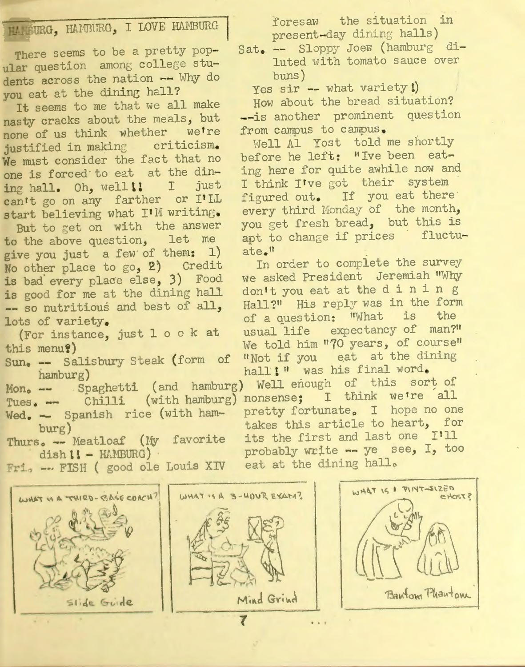SURG, HAMBURG, I LOVE HAMBURG

There seems to be a pretty popular question among college students across the nation -- Why do you eat at the dining hall?

It seems to me that we all make nasty cracks about the meals, but none of us think whether we're justified in making criticism. We must consider the fact that no one is forced to eat at the dining hall. Oh, well!! I just can't go on any farther or I'LL start believing what I'M writing.

But to get on with the answer to the above question, let me give you just a few of them: 1) No other place to go, 2) Credit is bad every place else, 3) Food is good for me at the dining hall -- so nutritious and best of all, lots of variety.

(For instance, just 1 o o k at this menu?)

- Sun. -- Salisbury Steak (form of hamburg)
- Tues. -- Chilli (with hamburg) nonsense; I think we're all Wed. - Spanish rice (with ham $burg)$

Thurs. -- Meatloaf (My favorite  $dish II - HAMBURG$ )

foresaw the situation in present-day dining halls)

Sat. -- Sloppy Joes (hamburg diluted with tomato sauce over  $buns)$ 

Yes sir -- what variety!) How about the bread situation? --is another prominent question from campus to campus.

Well Al Yost told me shortly before he left: "Ive been eating here for quite awhile now and I think I've got their system figured out. If you eat there every third Monday of the month, you get fresh bread, but this is apt to change if prices fluctuate."

In order to complete the survey we asked President Jeremiah "Why don't you eat at the dining Hall?" His reply was in the form of a question: "What is the usual life expectancy of man?" We told him "70 years, of course" "Not if you eat at the dining hall!" was his final word.

Mon. -- Spaghetti (and hamburg) Well enough of this sort of pretty fortunate. I hope no one takes this article to heart, for its the first and last one I'll probably write -- ye see, I, too eat at the dining hall.